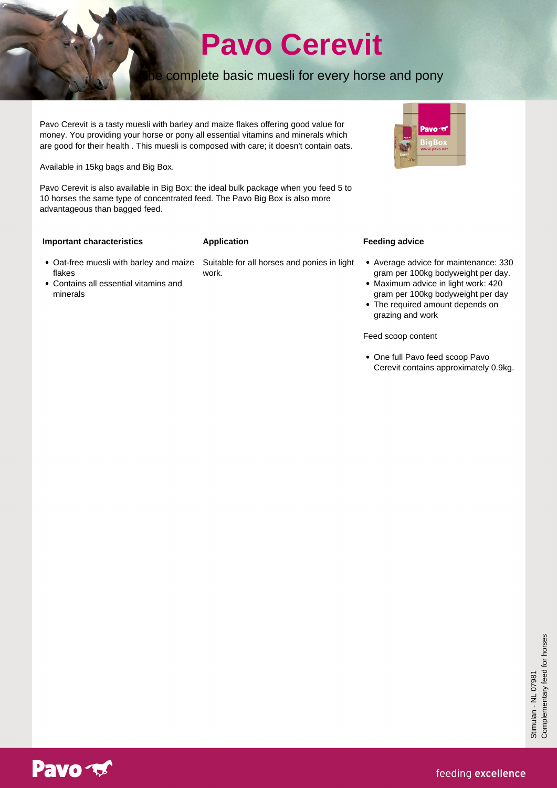# **Pavo Cerevit**

## he complete basic muesli for every horse and pony

Pavo Cerevit is a tasty muesli with barley and maize flakes offering good value for money. You providing your horse or pony all essential vitamins and minerals which are good for their health . This muesli is composed with care; it doesn't contain oats.

Available in 15kg bags and Big Box.

Pavo Cerevit is also available in Big Box: the ideal bulk package when you feed 5 to 10 horses the same type of concentrated feed. The Pavo Big Box is also more advantageous than bagged feed.

#### **Important characteristics**

#### **Application**

- flakes Contains all essential vitamins and
- minerals

Oat-free muesli with barley and maize Suitable for all horses and ponies in light work.

### **Feeding advice**

- Average advice for maintenance: 330 gram per 100kg bodyweight per day.
- Maximum advice in light work: 420 gram per 100kg bodyweight per day

Pavo<sub>10</sub>

• The required amount depends on grazing and work

Feed scoop content

One full Pavo feed scoop Pavo Cerevit contains approximately 0.9kg.